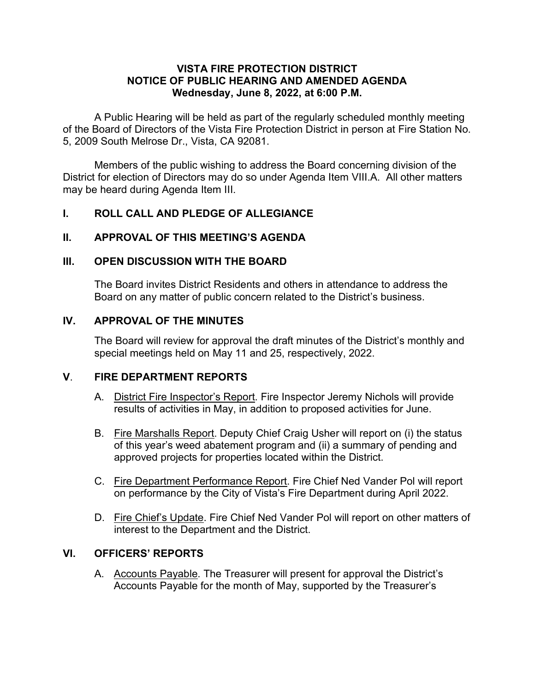#### VISTA FIRE PROTECTION DISTRICT NOTICE OF PUBLIC HEARING AND AMENDED AGENDA Wednesday, June 8, 2022, at 6:00 P.M.

A Public Hearing will be held as part of the regularly scheduled monthly meeting of the Board of Directors of the Vista Fire Protection District in person at Fire Station No. 5, 2009 South Melrose Dr., Vista, CA 92081.

Members of the public wishing to address the Board concerning division of the District for election of Directors may do so under Agenda Item VIII.A. All other matters may be heard during Agenda Item III.

# I. ROLL CALL AND PLEDGE OF ALLEGIANCE

## II. APPROVAL OF THIS MEETING'S AGENDA

#### III. OPEN DISCUSSION WITH THE BOARD

The Board invites District Residents and others in attendance to address the Board on any matter of public concern related to the District's business.

## IV. APPROVAL OF THE MINUTES

The Board will review for approval the draft minutes of the District's monthly and special meetings held on May 11 and 25, respectively, 2022.

#### V. FIRE DEPARTMENT REPORTS

- A. District Fire Inspector's Report. Fire Inspector Jeremy Nichols will provide results of activities in May, in addition to proposed activities for June.
- B. Fire Marshalls Report. Deputy Chief Craig Usher will report on (i) the status of this year's weed abatement program and (ii) a summary of pending and approved projects for properties located within the District.
- C. Fire Department Performance Report. Fire Chief Ned Vander Pol will report on performance by the City of Vista's Fire Department during April 2022.
- D. Fire Chief's Update. Fire Chief Ned Vander Pol will report on other matters of interest to the Department and the District.

# VI. OFFICERS' REPORTS

A. Accounts Payable. The Treasurer will present for approval the District's Accounts Payable for the month of May, supported by the Treasurer's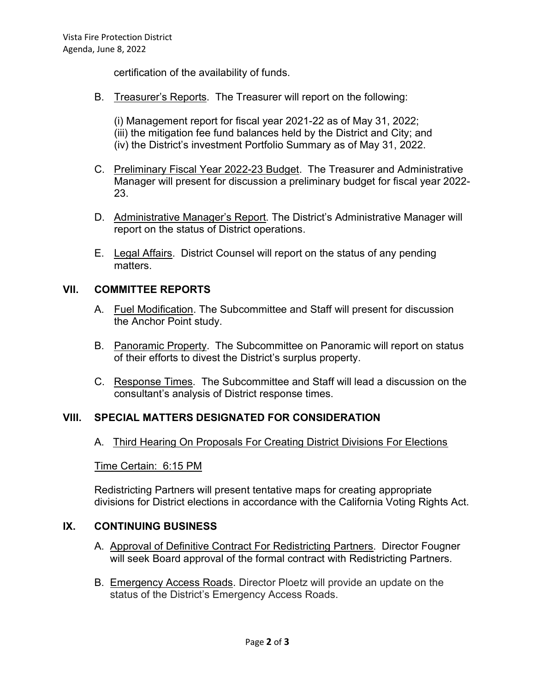certification of the availability of funds.

B. Treasurer's Reports. The Treasurer will report on the following:

(i) Management report for fiscal year 2021-22 as of May 31, 2022; (iii) the mitigation fee fund balances held by the District and City; and (iv) the District's investment Portfolio Summary as of May 31, 2022.

- C. Preliminary Fiscal Year 2022-23 Budget. The Treasurer and Administrative Manager will present for discussion a preliminary budget for fiscal year 2022- 23.
- D. Administrative Manager's Report. The District's Administrative Manager will report on the status of District operations.
- E. Legal Affairs. District Counsel will report on the status of any pending matters.

#### VII. COMMITTEE REPORTS

- A. Fuel Modification. The Subcommittee and Staff will present for discussion the Anchor Point study.
- B. Panoramic Property. The Subcommittee on Panoramic will report on status of their efforts to divest the District's surplus property.
- C. Response Times. The Subcommittee and Staff will lead a discussion on the consultant's analysis of District response times.

#### VIII. SPECIAL MATTERS DESIGNATED FOR CONSIDERATION

A. Third Hearing On Proposals For Creating District Divisions For Elections

#### Time Certain: 6:15 PM

Redistricting Partners will present tentative maps for creating appropriate divisions for District elections in accordance with the California Voting Rights Act.

#### IX. CONTINUING BUSINESS

- A. Approval of Definitive Contract For Redistricting Partners. Director Fougner will seek Board approval of the formal contract with Redistricting Partners.
- B. Emergency Access Roads. Director Ploetz will provide an update on the status of the District's Emergency Access Roads.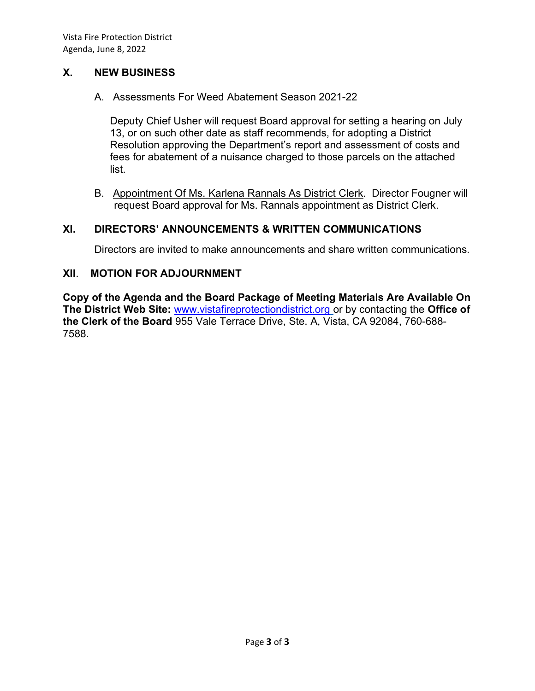# X. NEW BUSINESS

#### A. Assessments For Weed Abatement Season 2021-22

Deputy Chief Usher will request Board approval for setting a hearing on July 13, or on such other date as staff recommends, for adopting a District Resolution approving the Department's report and assessment of costs and fees for abatement of a nuisance charged to those parcels on the attached list.

B. Appointment Of Ms. Karlena Rannals As District Clerk. Director Fougner will request Board approval for Ms. Rannals appointment as District Clerk.

# XI. DIRECTORS' ANNOUNCEMENTS & WRITTEN COMMUNICATIONS

Directors are invited to make announcements and share written communications.

## XII. MOTION FOR ADJOURNMENT

Copy of the Agenda and the Board Package of Meeting Materials Are Available On The District Web Site: www.vistafireprotectiondistrict.org or by contacting the Office of the Clerk of the Board 955 Vale Terrace Drive, Ste. A, Vista, CA 92084, 760-688- 7588.